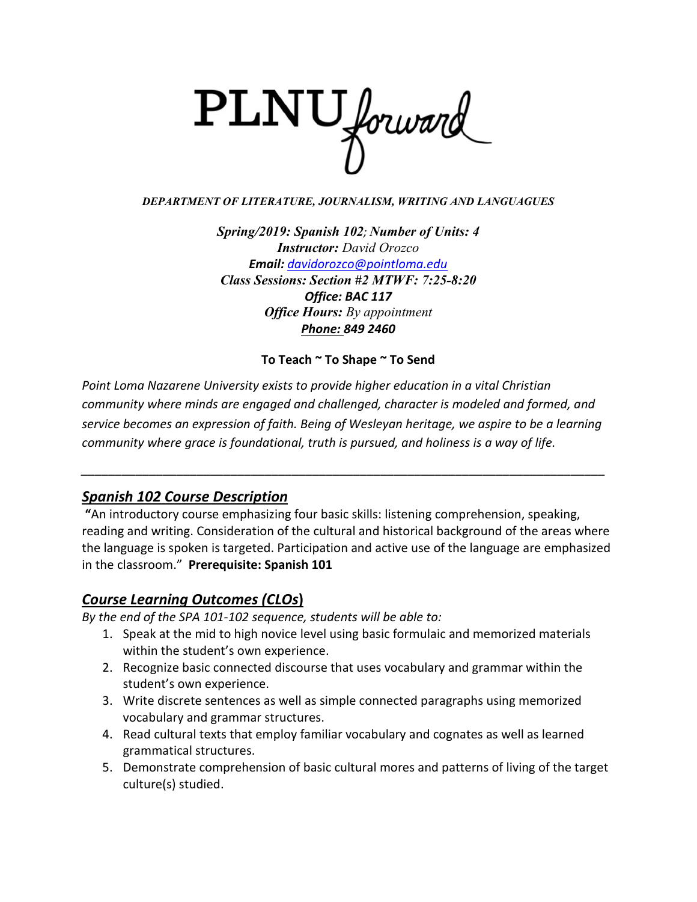

#### *DEPARTMENT OF LITERATURE, JOURNALISM, WRITING AND LANGUAGUES*

*Spring/2019: Spanish 102; Number of Units: 4 Instructor: David Orozco Email: [davidorozco@pointloma.edu](mailto:davidorozco@pointloma.edu) Class Sessions: Section #2 MTWF: 7:25-8:20 Office: BAC 117 Office Hours: By appointment Phone: 849 2460*

### **To Teach ~ To Shape ~ To Send**

*Point Loma Nazarene University exists to provide higher education in a vital Christian community where minds are engaged and challenged, character is modeled and formed, and service becomes an expression of faith. Being of Wesleyan heritage, we aspire to be a learning community where grace is foundational, truth is pursued, and holiness is a way of life.*

*\_\_\_\_\_\_\_\_\_\_\_\_\_\_\_\_\_\_\_\_\_\_\_\_\_\_\_\_\_\_\_\_\_\_\_\_\_\_\_\_\_\_\_\_\_\_\_\_\_\_\_\_\_\_\_\_\_\_\_\_\_\_\_\_\_\_\_\_\_\_\_\_\_\_\_\_\_*

# *Spanish 102 Course Description*

**"**An introductory course emphasizing four basic skills: listening comprehension, speaking, reading and writing. Consideration of the cultural and historical background of the areas where the language is spoken is targeted. Participation and active use of the language are emphasized in the classroom." **Prerequisite: Spanish 101**

# *Course Learning Outcomes (CLOs***)**

*By the end of the SPA 101-102 sequence, students will be able to:*

- 1. Speak at the mid to high novice level using basic formulaic and memorized materials within the student's own experience.
- 2. Recognize basic connected discourse that uses vocabulary and grammar within the student's own experience.
- 3. Write discrete sentences as well as simple connected paragraphs using memorized vocabulary and grammar structures.
- 4. Read cultural texts that employ familiar vocabulary and cognates as well as learned grammatical structures.
- 5. Demonstrate comprehension of basic cultural mores and patterns of living of the target culture(s) studied.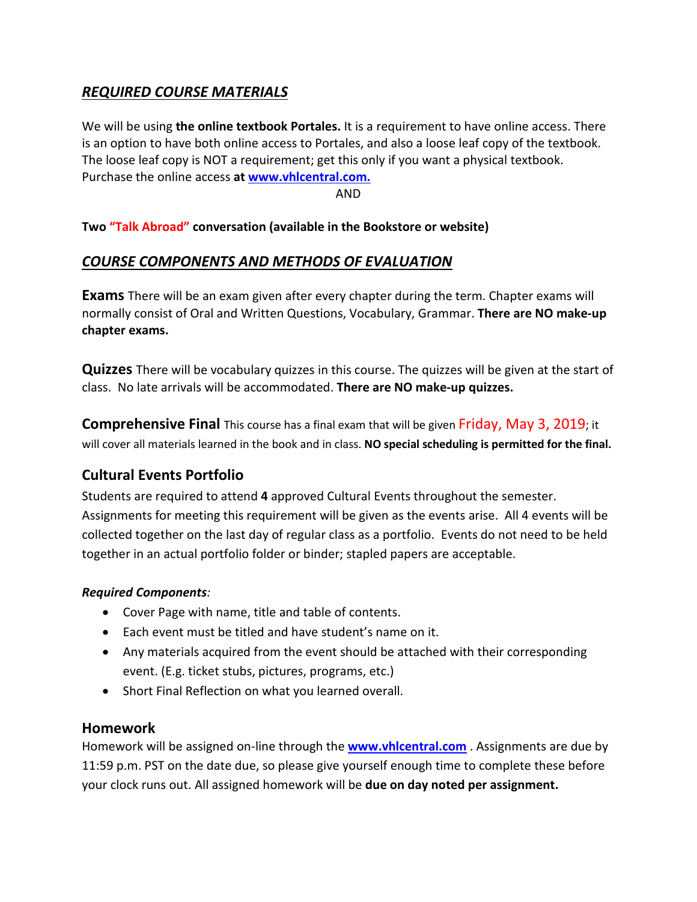# *REQUIRED COURSE MATERIALS*

We will be using **the online textbook Portales.** It is a requirement to have online access. There is an option to have both online access to Portales, and also a loose leaf copy of the textbook. The loose leaf copy is NOT a requirement; get this only if you want a physical textbook. Purchase the online access **at [www.vhlcentral.com.](http://www.vhlcentral.com/)** 

AND

### **Two "Talk Abroad" conversation (available in the Bookstore or website)**

### *COURSE COMPONENTS AND METHODS OF EVALUATION*

**Exams** There will be an exam given after every chapter during the term. Chapter exams will normally consist of Oral and Written Questions, Vocabulary, Grammar. **There are NO make-up chapter exams.**

**Quizzes** There will be vocabulary quizzes in this course. The quizzes will be given at the start of class. No late arrivals will be accommodated. **There are NO make-up quizzes.**

**Comprehensive Final** This course has a final exam that will be given Friday, May 3, 2019; it will cover all materials learned in the book and in class. **NO special scheduling is permitted for the final.**

# **Cultural Events Portfolio**

Students are required to attend **4** approved Cultural Events throughout the semester. Assignments for meeting this requirement will be given as the events arise. All 4 events will be collected together on the last day of regular class as a portfolio. Events do not need to be held together in an actual portfolio folder or binder; stapled papers are acceptable.

#### *Required Components:*

- Cover Page with name, title and table of contents.
- Each event must be titled and have student's name on it.
- Any materials acquired from the event should be attached with their corresponding event. (E.g. ticket stubs, pictures, programs, etc.)
- Short Final Reflection on what you learned overall.

### **Homework**

Homework will be assigned on-line through the **[www.vhlcentral.com](http://www.vhlcentral.com/)** . Assignments are due by 11:59 p.m. PST on the date due, so please give yourself enough time to complete these before your clock runs out. All assigned homework will be **due on day noted per assignment.**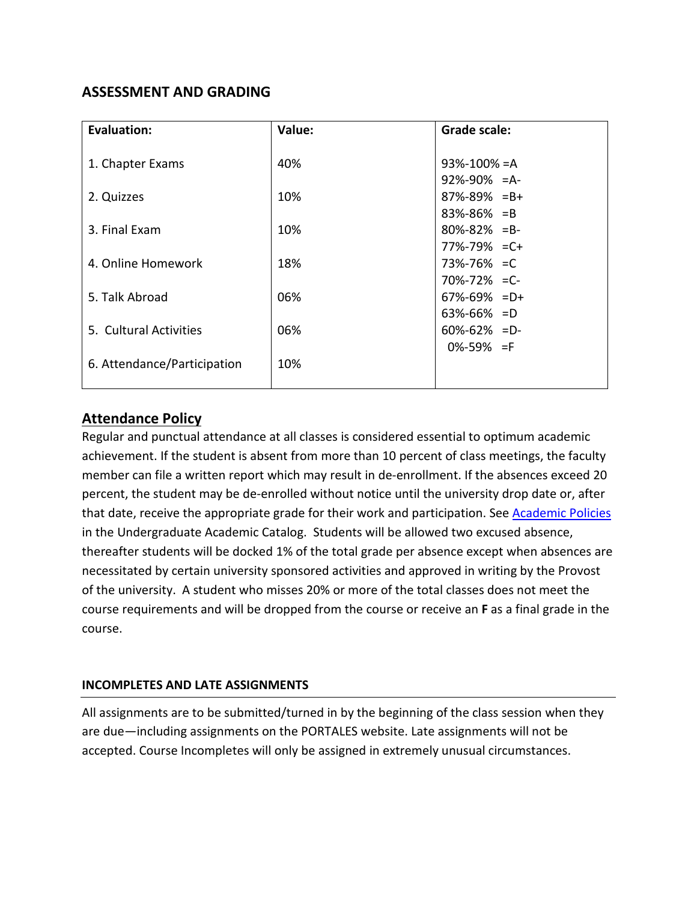# **ASSESSMENT AND GRADING**

| <b>Evaluation:</b>          | Value: | <b>Grade scale:</b> |
|-----------------------------|--------|---------------------|
|                             |        |                     |
| 1. Chapter Exams            | 40%    | $93\% - 100\% = A$  |
|                             |        | $92\% - 90\% = A$   |
| 2. Quizzes                  | 10%    | $87\% - 89\% = B +$ |
|                             |        | $83\% - 86\% = B$   |
| 3. Final Exam               | 10%    | $80\% - 82\% = B -$ |
|                             |        | $77\% - 79\% = C +$ |
| 4. Online Homework          | 18%    | 73%-76% = C         |
|                             |        | $70\% - 72\% = C$   |
| 5. Talk Abroad              | 06%    | $67\% - 69\% = D +$ |
|                             |        | $63\% - 66\% = D$   |
| 5. Cultural Activities      | 06%    | $60\% - 62\% = D$   |
|                             |        | $0\% - 59\% = F$    |
| 6. Attendance/Participation | 10%    |                     |
|                             |        |                     |

# **Attendance Policy**

Regular and punctual attendance at all classes is considered essential to optimum academic achievement. If the student is absent from more than 10 percent of class meetings, the faculty member can file a written report which may result in de-enrollment. If the absences exceed 20 percent, the student may be de-enrolled without notice until the university drop date or, after that date, receive the appropriate grade for their work and participation. See [Academic Policies](http://catalog.pointloma.edu/content.php?catoid=18&navoid=1278) in the Undergraduate Academic Catalog. Students will be allowed two excused absence, thereafter students will be docked 1% of the total grade per absence except when absences are necessitated by certain university sponsored activities and approved in writing by the Provost of the university. A student who misses 20% or more of the total classes does not meet the course requirements and will be dropped from the course or receive an **F** as a final grade in the course.

### **INCOMPLETES AND LATE ASSIGNMENTS**

All assignments are to be submitted/turned in by the beginning of the class session when they are due—including assignments on the PORTALES website. Late assignments will not be accepted. Course Incompletes will only be assigned in extremely unusual circumstances.